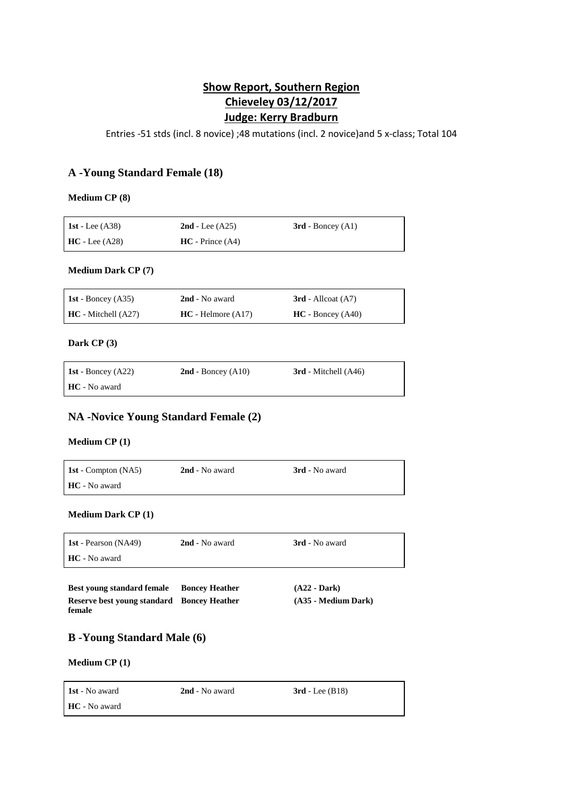# **Show Report, Southern Region Chieveley 03/12/2017 Judge: Kerry Bradburn**

Entries -51 stds (incl. 8 novice) ;48 mutations (incl. 2 novice)and 5 x-class; Total 104

## **A -Young Standard Female (18)**

#### **Medium CP (8)**

| 1st - Lee $(A38)$ | $2nd$ - Lee $(A25)$ | $3rd$ - Boncey $(A1)$ |
|-------------------|---------------------|-----------------------|
| $HC$ - Lee (A28)  | $HC - Prince (A4)$  |                       |

### **Medium Dark CP (7)**

| 1st - Boncey $(A35)$  | 2nd - No award       | $3rd$ - Allcoat $(A7)$ |
|-----------------------|----------------------|------------------------|
| $HC - Mitchell (A27)$ | $HC - Helmore (A17)$ | $HC - Boncev (A40)$    |

## **Dark CP (3)**

| 1st - Boncey $(A22)$ | $2nd$ - Boncey (A10) | $3rd$ - Mitchell $(A46)$ |
|----------------------|----------------------|--------------------------|
| HC - No award        |                      |                          |

## **NA -Novice Young Standard Female (2)**

## **Medium CP (1)**

**1st** - Compton (NA5) **2nd** - No award **3rd** - No award **HC** - No award

## **Medium Dark CP (1)**

| <b>1st</b> - Pearson (NA49) | 2nd - No award | <b>3rd</b> - No award |
|-----------------------------|----------------|-----------------------|
| <b>HC</b> - No award        |                |                       |

| <b>Best young standard female</b>          | <b>Boncey Heather</b> | $(A22 - Dark)$      |
|--------------------------------------------|-----------------------|---------------------|
| Reserve best voung standard Boncey Heather |                       | (A35 - Medium Dark) |
| female                                     |                       |                     |

## **B -Young Standard Male (6)**

### **Medium CP (1)**

| <b>1st</b> - No award | 2nd - No award | $3rd$ - Lee (B18) |
|-----------------------|----------------|-------------------|
| HC - No award         |                |                   |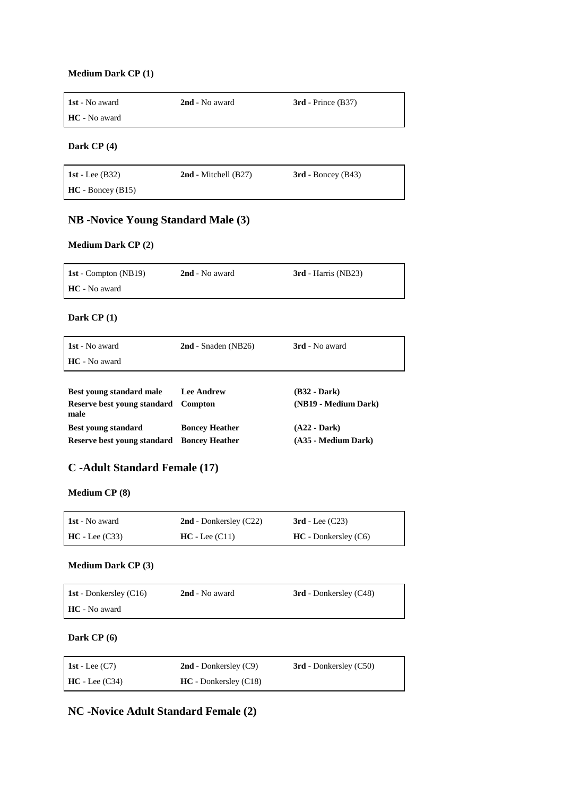#### **Medium Dark CP (1)**

| <b>1st</b> - No award | 2nd - No award | $3rd$ - Prince (B37) |
|-----------------------|----------------|----------------------|
| <b>HC</b> - No award  |                |                      |

## **Dark CP (4)**

| 1st - Lee $(B32)$  | $2nd$ - Mitchell (B27) | $3rd$ - Boncey (B43) |
|--------------------|------------------------|----------------------|
| $HC - Boncev(B15)$ |                        |                      |

# **NB -Novice Young Standard Male (3)**

## **Medium Dark CP (2)**

| <b>1st</b> - Compton (NB19) | 2nd - No award | $3rd$ - Harris (NB23) |
|-----------------------------|----------------|-----------------------|
| <b>HC</b> - No award        |                |                       |

**Dark CP (1)**

| 1st - No award                      | $2nd$ - Snaden (NB26) | 3rd - No award       |
|-------------------------------------|-----------------------|----------------------|
| HC - No award                       |                       |                      |
|                                     |                       |                      |
| <b>Best young standard male</b>     | <b>Lee Andrew</b>     | $(B32 - Dark)$       |
| Reserve best young standard<br>male | <b>Compton</b>        | (NB19 - Medium Dark) |
| <b>Best young standard</b>          | <b>Boncey Heather</b> | $(A22 - Dark)$       |
| Reserve best young standard         | <b>Boncey Heather</b> | (A35 - Medium Dark)  |

# **C -Adult Standard Female (17)**

**Medium CP (8)**

| <b>1st</b> - No award | $2nd$ - Donkersley (C22) | $3rd$ - Lee $(C23)$    |
|-----------------------|--------------------------|------------------------|
| $HC$ - Lee (C33)      | $HC - Lee (C11)$         | $HC$ - Donkersley (C6) |

#### **Medium Dark CP (3)**

| <b>1st</b> - Donkersley (C16) | 2nd - No award | <b>3rd</b> - Donkersley (C48) |
|-------------------------------|----------------|-------------------------------|
| HC - No award                 |                |                               |

**Dark CP (6)**

| 1st - Lee $(C7)$ | $2nd$ - Donkersley (C9) | <b>3rd</b> - Donkersley (C50) |
|------------------|-------------------------|-------------------------------|
| $HC - Lee (C34)$ | $HC$ - Donkersley (C18) |                               |

**NC -Novice Adult Standard Female (2)**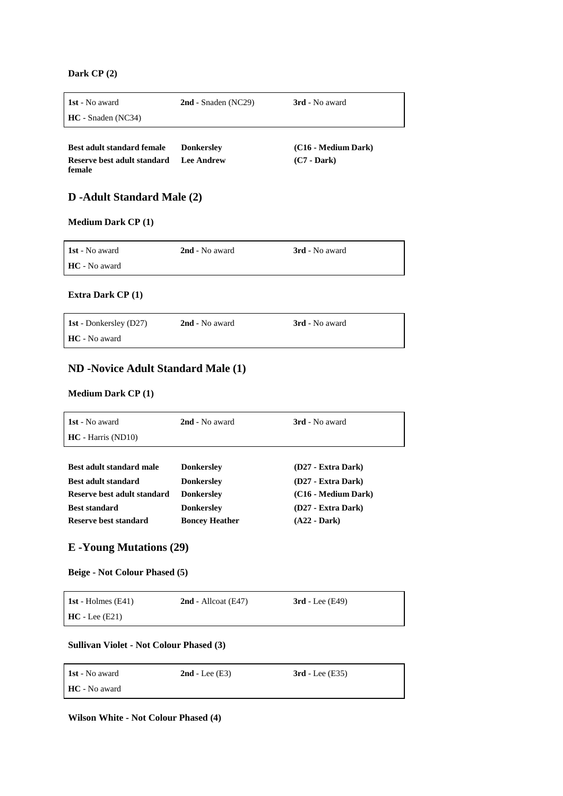**Dark CP (2)**

| 1st - No award                        | $2nd$ - Snaden (NC29) | 3rd - No award      |
|---------------------------------------|-----------------------|---------------------|
| $HC - Snaden (NC34)$                  |                       |                     |
|                                       |                       |                     |
| <b>Best adult standard female</b>     | <b>Donkersley</b>     | (C16 - Medium Dark) |
| Reserve best adult standard<br>female | Lee Andrew            | $(C7 - Dark)$       |

# **D -Adult Standard Male (2)**

### **Medium Dark CP (1)**

| <b>1st</b> - No award | 2nd - No award | <b>3rd</b> - No award |
|-----------------------|----------------|-----------------------|
| <b>HC</b> - No award  |                |                       |

## **Extra Dark CP (1)**

| <b>1st</b> - Donkersley (D27) | 2nd - No award | <b>3rd</b> - No award |
|-------------------------------|----------------|-----------------------|
| HC - No award                 |                |                       |

# **ND -Novice Adult Standard Male (1)**

### **Medium Dark CP (1)**

| 1st - No award              | 2nd - No award        | <b>3rd</b> - No award |
|-----------------------------|-----------------------|-----------------------|
| $HC - Harris (ND10)$        |                       |                       |
|                             |                       |                       |
| Best adult standard male    | <b>Donkersley</b>     | (D27 - Extra Dark)    |
| <b>Best adult standard</b>  | <b>Donkersley</b>     | (D27 - Extra Dark)    |
| Reserve best adult standard | <b>Donkersley</b>     | (C16 - Medium Dark)   |
| <b>Best standard</b>        | <b>Donkersley</b>     | (D27 - Extra Dark)    |
| Reserve best standard       | <b>Boncey Heather</b> | $(A22 - Dark)$        |

# **E -Young Mutations (29)**

### **Beige - Not Colour Phased (5)**

| 1st - Holmes $(E41)$ | $2nd$ - Allcoat (E47) | $3rd$ - Lee (E49) |
|----------------------|-----------------------|-------------------|
| $HC$ - Lee (E21)     |                       |                   |

#### **Sullivan Violet - Not Colour Phased (3)**

| <b>1st</b> - No award | $2nd$ - Lee $(E3)$ | $3rd$ - Lee (E35) |
|-----------------------|--------------------|-------------------|
| HC - No award         |                    |                   |

**Wilson White - Not Colour Phased (4)**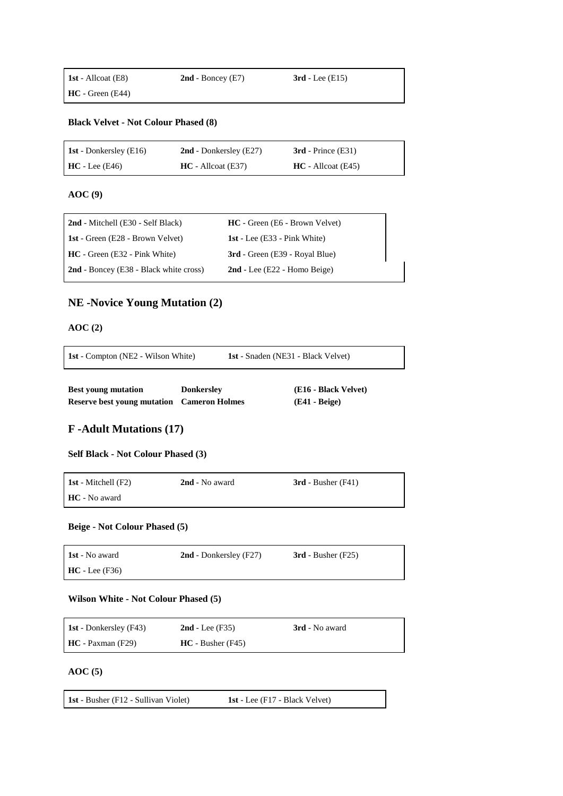## **Black Velvet - Not Colour Phased (8)**

| <b>1st</b> - Donkersley (E16) | $2nd$ - Donkersley (E27) | $3rd$ - Prince (E31)  |
|-------------------------------|--------------------------|-----------------------|
| $HC - Lee (E46)$              | $HC - All coat (E37)$    | $HC - All coat (E45)$ |

**AOC (9)**

| 2nd - Mitchell (E30 - Self Black)             | <b>HC</b> - Green (E6 - Brown Velvet) |
|-----------------------------------------------|---------------------------------------|
| <b>1st</b> - Green (E28 - Brown Velvet)       | 1st - Lee $(E33 - Pink White)$        |
| $HC - Green (E32 - Pink White)$               | 3rd - Green (E39 - Royal Blue)        |
| <b>2nd</b> - Boncey (E38 - Black white cross) | $2nd$ - Lee (E22 - Homo Beige)        |

# **NE -Novice Young Mutation (2)**

## **AOC (2)**

**1st** - Compton (NE2 - Wilson White) **1st** - Snaden (NE31 - Black Velvet)

| <b>Best young mutation</b>                        | <b>Donkersley</b> | (E16 - Black Velvet) |
|---------------------------------------------------|-------------------|----------------------|
| <b>Reserve best young mutation</b> Cameron Holmes |                   | $(E41 - Beige)$      |

# **F -Adult Mutations (17)**

#### **Self Black - Not Colour Phased (3)**

| 1st - Mitchell $(F2)$ | 2nd - No award | $3rd$ - Busher (F41) |
|-----------------------|----------------|----------------------|
| <b>HC</b> - No award  |                |                      |

### **Beige - Not Colour Phased (5)**

| <b>1st</b> - No award | $2nd$ - Donkersley (F27) | $3rd$ - Busher (F25) |
|-----------------------|--------------------------|----------------------|
| $HC - Lee (F36)$      |                          |                      |

#### **Wilson White - Not Colour Phased (5)**

| <b>1st</b> - Donkersley (F43) | $2nd$ - Lee (F35)       | 3rd - No award |
|-------------------------------|-------------------------|----------------|
| $HC - Paxman$ (F29)           | $HC - Busher$ ( $F45$ ) |                |

### **AOC (5)**